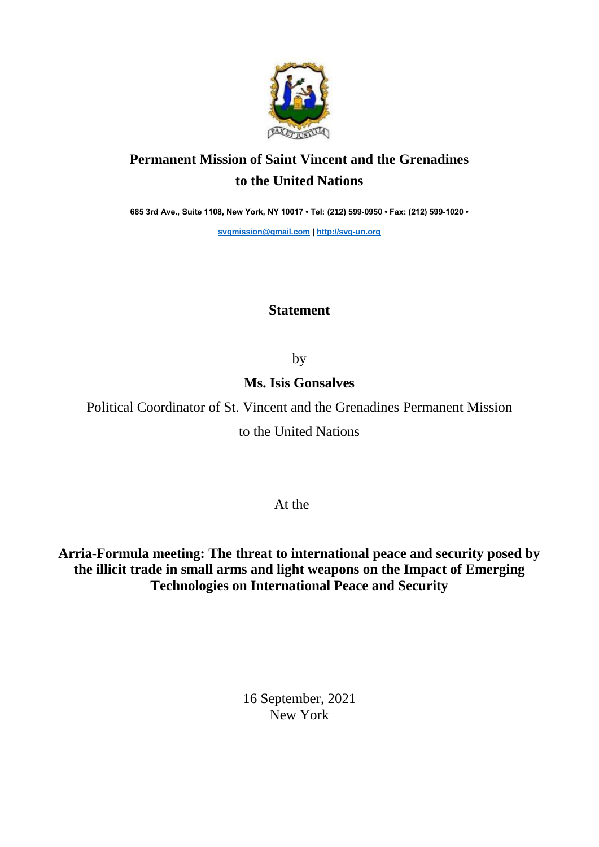

## **Permanent Mission of Saint Vincent and the Grenadines to the United Nations**

**685 3rd Ave., Suite 1108, New York, NY 10017 • Tel: (212) 599-0950 • Fax: (212) 599-1020 •** 

**[svgmission@gmail.com](mailto:svgmission@gmail.com) | [http://svg-un.org](http://svg-un.org/)**

## **Statement**

by

## **Ms. Isis Gonsalves**

Political Coordinator of St. Vincent and the Grenadines Permanent Mission

to the United Nations

At the

**Arria-Formula meeting: The threat to international peace and security posed by the illicit trade in small arms and light weapons on the Impact of Emerging Technologies on International Peace and Security**

> 16 September, 2021 New York